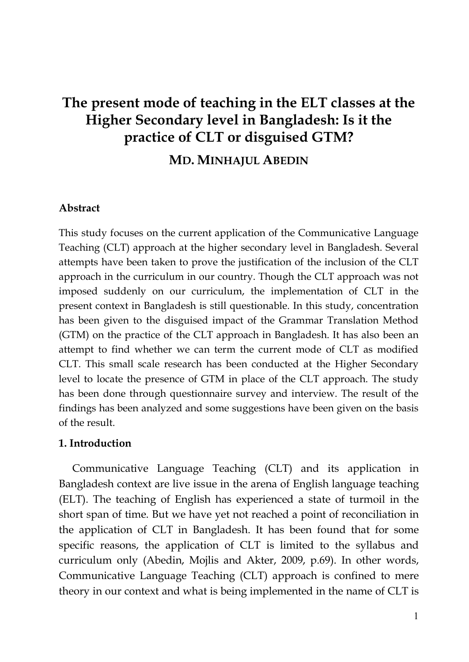# **The present mode of teaching in the ELT classes at the Higher Secondary level in Bangladesh: Is it the practice of CLT or disguised GTM?**

# **MD. MINHAJUL ABEDIN**

#### **Abstract**

This study focuses on the current application of the Communicative Language Teaching (CLT) approach at the higher secondary level in Bangladesh. Several attempts have been taken to prove the justification of the inclusion of the CLT approach in the curriculum in our country. Though the CLT approach was not imposed suddenly on our curriculum, the implementation of CLT in the present context in Bangladesh is still questionable. In this study, concentration has been given to the disguised impact of the Grammar Translation Method (GTM) on the practice of the CLT approach in Bangladesh. It has also been an attempt to find whether we can term the current mode of CLT as modified CLT. This small scale research has been conducted at the Higher Secondary level to locate the presence of GTM in place of the CLT approach. The study has been done through questionnaire survey and interview. The result of the findings has been analyzed and some suggestions have been given on the basis of the result.

#### **1. Introduction**

Communicative Language Teaching (CLT) and its application in Bangladesh context are live issue in the arena of English language teaching (ELT). The teaching of English has experienced a state of turmoil in the short span of time. But we have yet not reached a point of reconciliation in the application of CLT in Bangladesh. It has been found that for some specific reasons, the application of CLT is limited to the syllabus and curriculum only (Abedin, Mojlis and Akter, 2009, p.69). In other words, Communicative Language Teaching (CLT) approach is confined to mere theory in our context and what is being implemented in the name of CLT is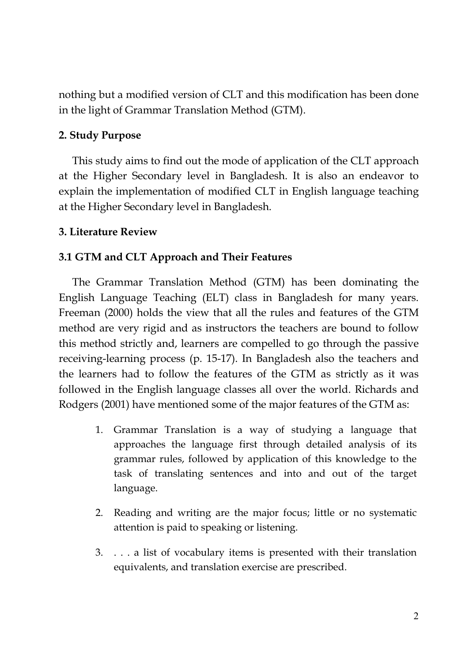nothing but a modified version of CLT and this modification has been done in the light of Grammar Translation Method (GTM).

# **2. Study Purpose**

This study aims to find out the mode of application of the CLT approach at the Higher Secondary level in Bangladesh. It is also an endeavor to explain the implementation of modified CLT in English language teaching at the Higher Secondary level in Bangladesh.

# **3. Literature Review**

# **3.1 GTM and CLT Approach and Their Features**

The Grammar Translation Method (GTM) has been dominating the English Language Teaching (ELT) class in Bangladesh for many years. Freeman (2000) holds the view that all the rules and features of the GTM method are very rigid and as instructors the teachers are bound to follow this method strictly and, learners are compelled to go through the passive receiving-learning process (p. 15-17). In Bangladesh also the teachers and the learners had to follow the features of the GTM as strictly as it was followed in the English language classes all over the world. Richards and Rodgers (2001) have mentioned some of the major features of the GTM as:

- 1. Grammar Translation is a way of studying a language that approaches the language first through detailed analysis of its grammar rules, followed by application of this knowledge to the task of translating sentences and into and out of the target language.
- 2. Reading and writing are the major focus; little or no systematic attention is paid to speaking or listening.
- 3. . . . a list of vocabulary items is presented with their translation equivalents, and translation exercise are prescribed.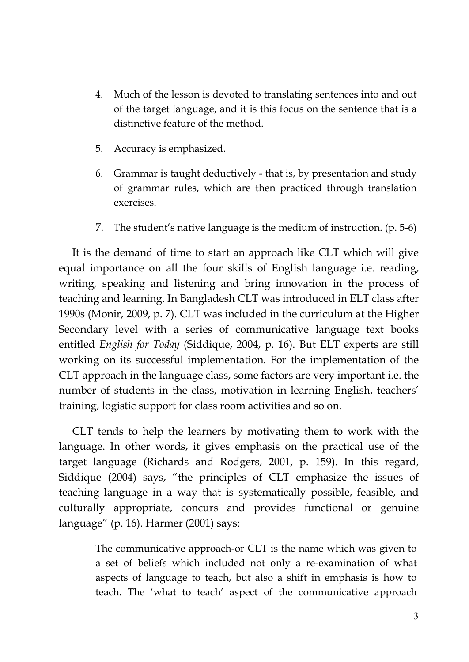- 4. Much of the lesson is devoted to translating sentences into and out of the target language, and it is this focus on the sentence that is a distinctive feature of the method.
- 5. Accuracy is emphasized.
- 6. Grammar is taught deductively that is, by presentation and study of grammar rules, which are then practiced through translation exercises.
- 7. The student's native language is the medium of instruction. (p. 5-6)

It is the demand of time to start an approach like CLT which will give equal importance on all the four skills of English language i.e. reading, writing, speaking and listening and bring innovation in the process of teaching and learning. In Bangladesh CLT was introduced in ELT class after 1990s (Monir, 2009, p. 7). CLT was included in the curriculum at the Higher Secondary level with a series of communicative language text books entitled *English for Today* (Siddique, 2004, p. 16). But ELT experts are still working on its successful implementation. For the implementation of the CLT approach in the language class, some factors are very important i.e. the number of students in the class, motivation in learning English, teachers' training, logistic support for class room activities and so on.

CLT tends to help the learners by motivating them to work with the language. In other words, it gives emphasis on the practical use of the target language (Richards and Rodgers, 2001, p. 159). In this regard, Siddique (2004) says, "the principles of CLT emphasize the issues of teaching language in a way that is systematically possible, feasible, and culturally appropriate, concurs and provides functional or genuine language" (p. 16). Harmer (2001) says:

> The communicative approach-or CLT is the name which was given to a set of beliefs which included not only a re-examination of what aspects of language to teach, but also a shift in emphasis is how to teach. The 'what to teach' aspect of the communicative approach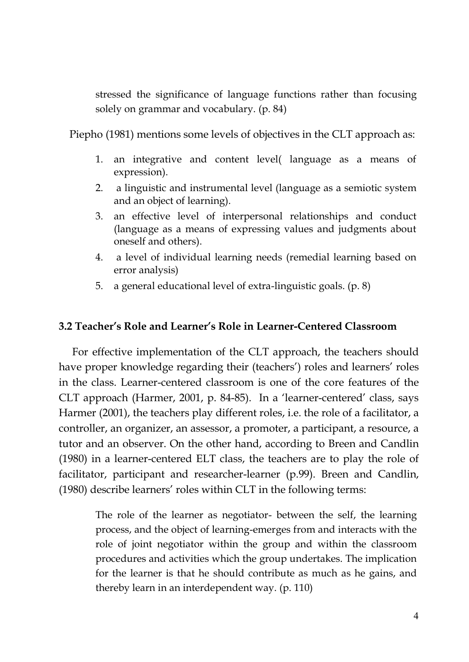stressed the significance of language functions rather than focusing solely on grammar and vocabulary. (p. 84)

Piepho (1981) mentions some levels of objectives in the CLT approach as:

- 1. an integrative and content level( language as a means of expression).
- 2. a linguistic and instrumental level (language as a semiotic system and an object of learning).
- 3. an effective level of interpersonal relationships and conduct (language as a means of expressing values and judgments about oneself and others).
- 4. a level of individual learning needs (remedial learning based on error analysis)
- 5. a general educational level of extra-linguistic goals. (p. 8)

### **3.2 Teacher's Role and Learner's Role in Learner-Centered Classroom**

For effective implementation of the CLT approach, the teachers should have proper knowledge regarding their (teachers') roles and learners' roles in the class. Learner-centered classroom is one of the core features of the CLT approach (Harmer, 2001, p. 84-85). In a 'learner-centered' class, says Harmer (2001), the teachers play different roles, i.e. the role of a facilitator, a controller, an organizer, an assessor, a promoter, a participant, a resource, a tutor and an observer. On the other hand, according to Breen and Candlin (1980) in a learner-centered ELT class, the teachers are to play the role of facilitator, participant and researcher-learner (p.99). Breen and Candlin, (1980) describe learners' roles within CLT in the following terms:

The role of the learner as negotiator- between the self, the learning process, and the object of learning-emerges from and interacts with the role of joint negotiator within the group and within the classroom procedures and activities which the group undertakes. The implication for the learner is that he should contribute as much as he gains, and thereby learn in an interdependent way. (p. 110)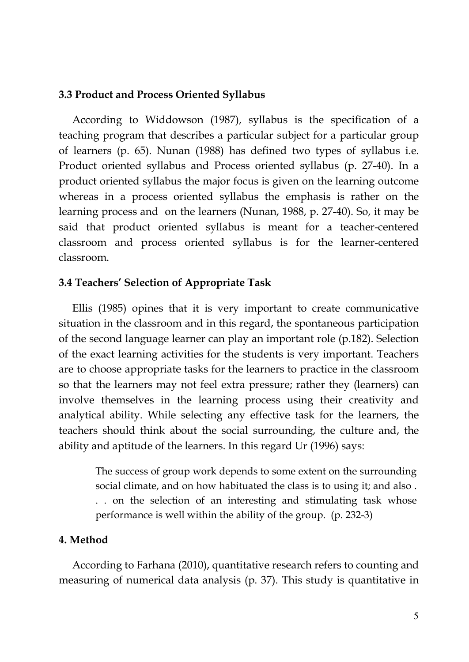#### **3.3 Product and Process Oriented Syllabus**

According to Widdowson (1987), syllabus is the specification of a teaching program that describes a particular subject for a particular group of learners (p. 65). Nunan (1988) has defined two types of syllabus i.e. Product oriented syllabus and Process oriented syllabus (p. 27-40). In a product oriented syllabus the major focus is given on the learning outcome whereas in a process oriented syllabus the emphasis is rather on the learning process and on the learners (Nunan, 1988, p. 27-40). So, it may be said that product oriented syllabus is meant for a teacher-centered classroom and process oriented syllabus is for the learner-centered classroom.

#### **3.4 Teachers' Selection of Appropriate Task**

Ellis (1985) opines that it is very important to create communicative situation in the classroom and in this regard, the spontaneous participation of the second language learner can play an important role (p.182). Selection of the exact learning activities for the students is very important. Teachers are to choose appropriate tasks for the learners to practice in the classroom so that the learners may not feel extra pressure; rather they (learners) can involve themselves in the learning process using their creativity and analytical ability. While selecting any effective task for the learners, the teachers should think about the social surrounding, the culture and, the ability and aptitude of the learners. In this regard Ur (1996) says:

> The success of group work depends to some extent on the surrounding social climate, and on how habituated the class is to using it; and also . . . on the selection of an interesting and stimulating task whose performance is well within the ability of the group. (p. 232-3)

#### **4. Method**

According to Farhana (2010), quantitative research refers to counting and measuring of numerical data analysis (p. 37). This study is quantitative in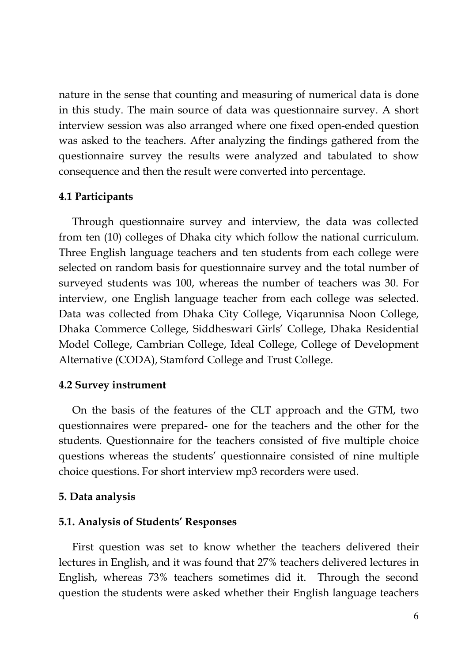nature in the sense that counting and measuring of numerical data is done in this study. The main source of data was questionnaire survey. A short interview session was also arranged where one fixed open-ended question was asked to the teachers. After analyzing the findings gathered from the questionnaire survey the results were analyzed and tabulated to show consequence and then the result were converted into percentage.

#### **4.1 Participants**

Through questionnaire survey and interview, the data was collected from ten (10) colleges of Dhaka city which follow the national curriculum. Three English language teachers and ten students from each college were selected on random basis for questionnaire survey and the total number of surveyed students was 100, whereas the number of teachers was 30. For interview, one English language teacher from each college was selected. Data was collected from Dhaka City College, Viqarunnisa Noon College, Dhaka Commerce College, Siddheswari Girls' College, Dhaka Residential Model College, Cambrian College, Ideal College, College of Development Alternative (CODA), Stamford College and Trust College.

#### **4.2 Survey instrument**

On the basis of the features of the CLT approach and the GTM, two questionnaires were prepared- one for the teachers and the other for the students. Questionnaire for the teachers consisted of five multiple choice questions whereas the students' questionnaire consisted of nine multiple choice questions. For short interview mp3 recorders were used.

#### **5. Data analysis**

#### **5.1. Analysis of Students' Responses**

First question was set to know whether the teachers delivered their lectures in English, and it was found that 27% teachers delivered lectures in English, whereas 73% teachers sometimes did it. Through the second question the students were asked whether their English language teachers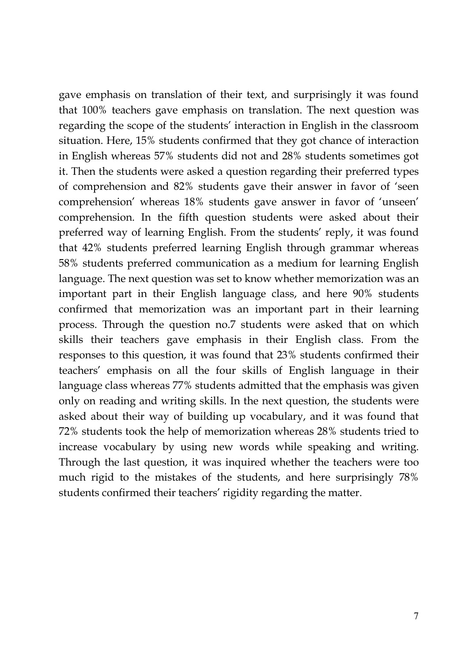gave emphasis on translation of their text, and surprisingly it was found that 100% teachers gave emphasis on translation. The next question was regarding the scope of the students' interaction in English in the classroom situation. Here, 15% students confirmed that they got chance of interaction in English whereas 57% students did not and 28% students sometimes got it. Then the students were asked a question regarding their preferred types of comprehension and 82% students gave their answer in favor of 'seen comprehension' whereas 18% students gave answer in favor of 'unseen' comprehension. In the fifth question students were asked about their preferred way of learning English. From the students' reply, it was found that 42% students preferred learning English through grammar whereas 58% students preferred communication as a medium for learning English language. The next question was set to know whether memorization was an important part in their English language class, and here 90% students confirmed that memorization was an important part in their learning process. Through the question no.7 students were asked that on which skills their teachers gave emphasis in their English class. From the responses to this question, it was found that 23% students confirmed their teachers' emphasis on all the four skills of English language in their language class whereas 77% students admitted that the emphasis was given only on reading and writing skills. In the next question, the students were asked about their way of building up vocabulary, and it was found that 72% students took the help of memorization whereas 28% students tried to increase vocabulary by using new words while speaking and writing. Through the last question, it was inquired whether the teachers were too much rigid to the mistakes of the students, and here surprisingly 78% students confirmed their teachers' rigidity regarding the matter.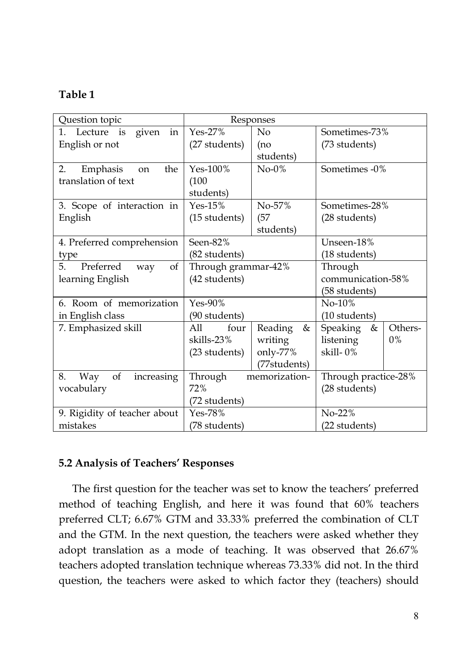# **Table 1**

| Question topic                              | Responses                |              |                                 |  |  |
|---------------------------------------------|--------------------------|--------------|---------------------------------|--|--|
| $\mathbf{1}$ .<br>given<br>in<br>Lecture is | $Yes-27%$                | No           | Sometimes-73%                   |  |  |
| English or not                              | (27 students)            | (no          | (73 students)                   |  |  |
|                                             |                          | students)    |                                 |  |  |
| 2.<br>Emphasis<br>the<br><sub>on</sub>      | $Yes-100\%$              | $No-0\%$     | Sometimes -0%                   |  |  |
| translation of text                         | (100)                    |              |                                 |  |  |
|                                             | students)                |              |                                 |  |  |
| 3. Scope of interaction in                  | Yes-15%                  | No-57%       | Sometimes-28%                   |  |  |
| English                                     | (15 students)            | (57)         | (28 students)                   |  |  |
|                                             |                          | students)    |                                 |  |  |
| 4. Preferred comprehension                  | Seen-82%                 |              | Unseen-18%                      |  |  |
| type                                        | (82 students)            |              | (18 students)                   |  |  |
| 5.<br>Preferred<br>of<br>way                | Through grammar-42%      |              | Through                         |  |  |
| learning English                            | (42 students)            |              | communication-58%               |  |  |
|                                             |                          |              | (58 students)                   |  |  |
| 6. Room of memorization                     | $Yes-90%$                |              | $No-10\%$                       |  |  |
| in English class                            | (90 students)            |              | (10 students)                   |  |  |
| 7. Emphasized skill                         | four<br>All              | Reading<br>& | Others-<br><b>Speaking</b><br>& |  |  |
|                                             | skills-23%               | writing      | listening<br>$0\%$              |  |  |
|                                             | (23 students)            | only-77%     | skill-0%                        |  |  |
|                                             |                          | (77students) |                                 |  |  |
| 8.<br>increasing<br>Way<br>of               | Through<br>memorization- |              | Through practice-28%            |  |  |
| vocabulary                                  | 72%                      |              | (28 students)                   |  |  |
|                                             | (72 students)            |              |                                 |  |  |
| 9. Rigidity of teacher about                | Yes-78%                  |              | $No-22%$                        |  |  |
| mistakes                                    | (78 students)            |              | (22 students)                   |  |  |

# **5.2 Analysis of Teachers' Responses**

The first question for the teacher was set to know the teachers' preferred method of teaching English, and here it was found that 60% teachers preferred CLT; 6.67% GTM and 33.33% preferred the combination of CLT and the GTM. In the next question, the teachers were asked whether they adopt translation as a mode of teaching. It was observed that 26.67% teachers adopted translation technique whereas 73.33% did not. In the third question, the teachers were asked to which factor they (teachers) should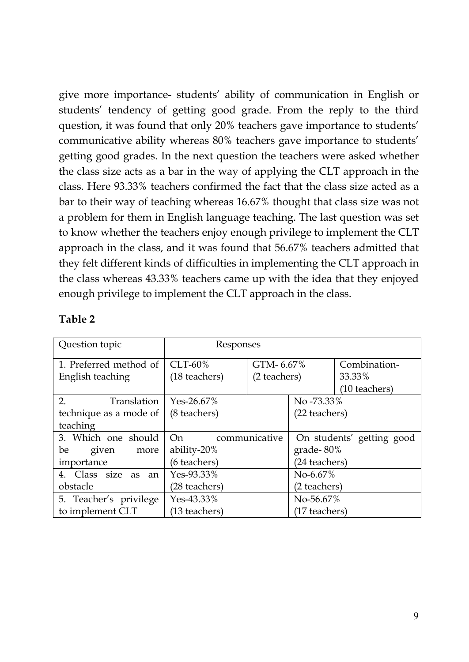give more importance- students' ability of communication in English or students' tendency of getting good grade. From the reply to the third question, it was found that only 20% teachers gave importance to students' communicative ability whereas 80% teachers gave importance to students' getting good grades. In the next question the teachers were asked whether the class size acts as a bar in the way of applying the CLT approach in the class. Here 93.33% teachers confirmed the fact that the class size acted as a bar to their way of teaching whereas 16.67% thought that class size was not a problem for them in English language teaching. The last question was set to know whether the teachers enjoy enough privilege to implement the CLT approach in the class, and it was found that 56.67% teachers admitted that they felt different kinds of difficulties in implementing the CLT approach in the class whereas 43.33% teachers came up with the idea that they enjoyed enough privilege to implement the CLT approach in the class.

| Question topic                      | Responses            |               |                           |               |
|-------------------------------------|----------------------|---------------|---------------------------|---------------|
| $CLT-60%$<br>1. Preferred method of |                      | GTM-6.67%     |                           | Combination-  |
| English teaching                    | (18 teachers)        | (2 teachers)  |                           | 33.33%        |
|                                     |                      |               |                           | (10 teachers) |
| 2.<br>Translation                   | Yes-26.67%           |               | No -73.33%                |               |
| technique as a mode of              | (8 teachers)         |               | (22 teachers)             |               |
| teaching                            |                      |               |                           |               |
| 3. Which one should                 | communicative<br>On. |               | On students' getting good |               |
| be<br>given<br>more                 | ability- $20\%$      |               | grade-80%                 |               |
| importance                          | (6 teachers)         |               | (24 teachers)             |               |
| 4. Class size<br>as<br>an           | Yes-93.33%           |               | $No-6.67\%$               |               |
| obstacle                            | (28 teachers)        |               | (2 teachers)              |               |
| 5. Teacher's privilege              | Yes-43.33%           |               | No-56.67%                 |               |
| to implement CLT<br>(13 teachers)   |                      | (17 teachers) |                           |               |

# **Table 2**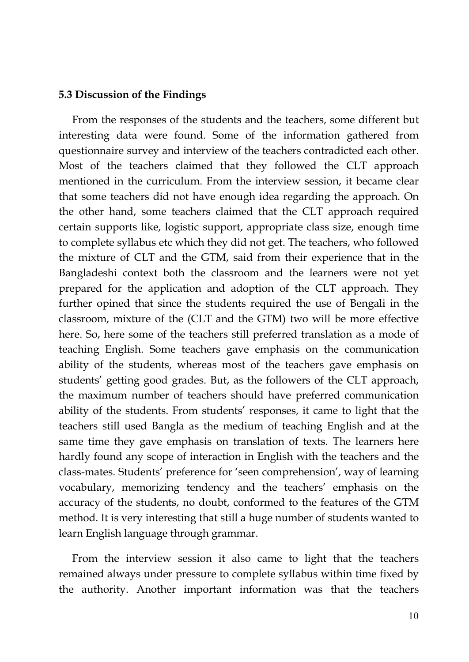# **5.3 Discussion of the Findings**

From the responses of the students and the teachers, some different but interesting data were found. Some of the information gathered from questionnaire survey and interview of the teachers contradicted each other. Most of the teachers claimed that they followed the CLT approach mentioned in the curriculum. From the interview session, it became clear that some teachers did not have enough idea regarding the approach. On the other hand, some teachers claimed that the CLT approach required certain supports like, logistic support, appropriate class size, enough time to complete syllabus etc which they did not get. The teachers, who followed the mixture of CLT and the GTM, said from their experience that in the Bangladeshi context both the classroom and the learners were not yet prepared for the application and adoption of the CLT approach. They further opined that since the students required the use of Bengali in the classroom, mixture of the (CLT and the GTM) two will be more effective here. So, here some of the teachers still preferred translation as a mode of teaching English. Some teachers gave emphasis on the communication ability of the students, whereas most of the teachers gave emphasis on students' getting good grades. But, as the followers of the CLT approach, the maximum number of teachers should have preferred communication ability of the students. From students' responses, it came to light that the teachers still used Bangla as the medium of teaching English and at the same time they gave emphasis on translation of texts. The learners here hardly found any scope of interaction in English with the teachers and the class-mates. Students' preference for 'seen comprehension', way of learning vocabulary, memorizing tendency and the teachers' emphasis on the accuracy of the students, no doubt, conformed to the features of the GTM method. It is very interesting that still a huge number of students wanted to learn English language through grammar.

From the interview session it also came to light that the teachers remained always under pressure to complete syllabus within time fixed by the authority. Another important information was that the teachers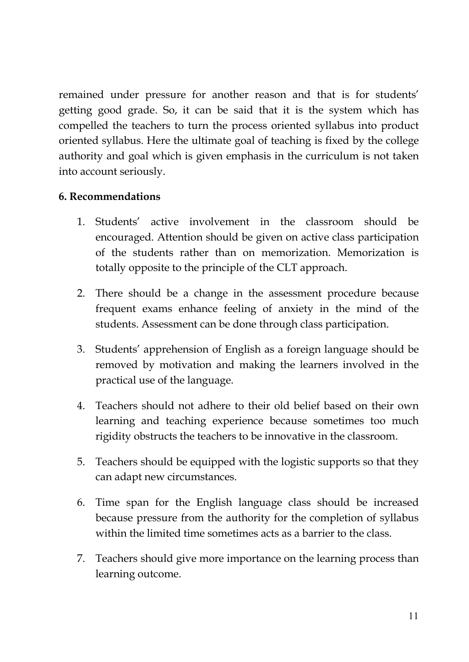remained under pressure for another reason and that is for students' getting good grade. So, it can be said that it is the system which has compelled the teachers to turn the process oriented syllabus into product oriented syllabus. Here the ultimate goal of teaching is fixed by the college authority and goal which is given emphasis in the curriculum is not taken into account seriously.

# **6. Recommendations**

- 1. Students' active involvement in the classroom should be encouraged. Attention should be given on active class participation of the students rather than on memorization. Memorization is totally opposite to the principle of the CLT approach.
- 2. There should be a change in the assessment procedure because frequent exams enhance feeling of anxiety in the mind of the students. Assessment can be done through class participation.
- 3. Students' apprehension of English as a foreign language should be removed by motivation and making the learners involved in the practical use of the language.
- 4. Teachers should not adhere to their old belief based on their own learning and teaching experience because sometimes too much rigidity obstructs the teachers to be innovative in the classroom.
- 5. Teachers should be equipped with the logistic supports so that they can adapt new circumstances.
- 6. Time span for the English language class should be increased because pressure from the authority for the completion of syllabus within the limited time sometimes acts as a barrier to the class.
- 7. Teachers should give more importance on the learning process than learning outcome.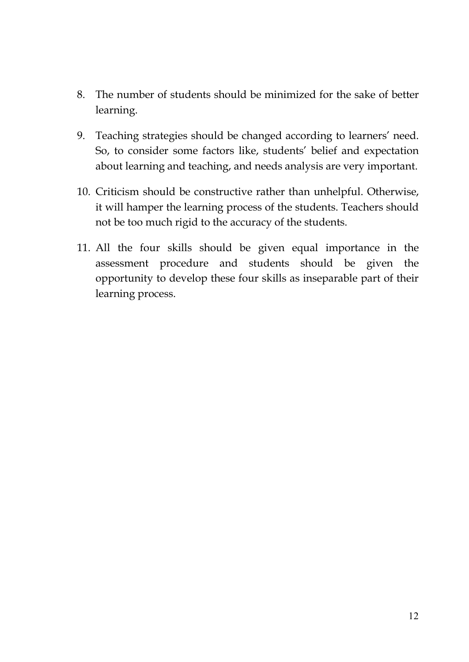- 8. The number of students should be minimized for the sake of better learning.
- 9. Teaching strategies should be changed according to learners' need. So, to consider some factors like, students' belief and expectation about learning and teaching, and needs analysis are very important.
- 10. Criticism should be constructive rather than unhelpful. Otherwise, it will hamper the learning process of the students. Teachers should not be too much rigid to the accuracy of the students.
- 11. All the four skills should be given equal importance in the assessment procedure and students should be given the opportunity to develop these four skills as inseparable part of their learning process.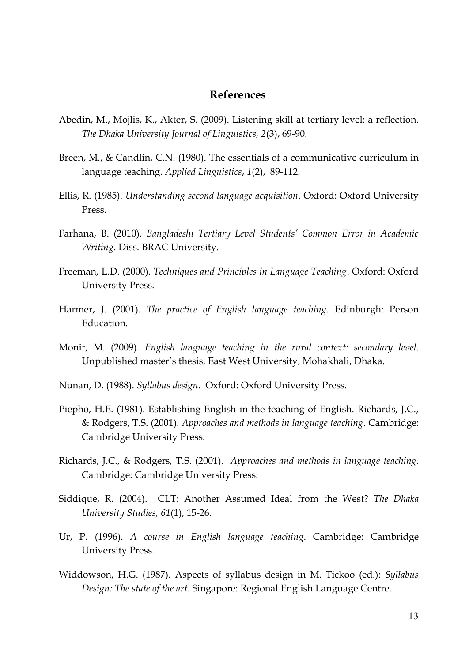#### **References**

- Abedin, M., Mojlis, K., Akter, S. (2009). Listening skill at tertiary level: a reflection. *The Dhaka University Journal of Linguistics, 2*(3), 69-90.
- Breen, M., & Candlin, C.N. (1980). The essentials of a communicative curriculum in language teaching. *Applied Linguistics*, *1*(2), 89-112.
- Ellis, R. (1985). *Understanding second language acquisition*. Oxford: Oxford University Press.
- Farhana, B. (2010). *Bangladeshi Tertiary Level Students' Common Error in Academic Writing*. Diss. BRAC University.
- Freeman, L.D. (2000). *Techniques and Principles in Language Teaching*. Oxford: Oxford University Press.
- Harmer, J. (2001). *The practice of English language teaching*. Edinburgh: Person Education.
- Monir, M. (2009). *English language teaching in the rural context: secondary level*. Unpublished master's thesis, East West University, Mohakhali, Dhaka.
- Nunan, D. (1988). *Syllabus design*. Oxford: Oxford University Press.
- Piepho, H.E. (1981). Establishing English in the teaching of English. Richards, J.C., & Rodgers, T.S. (2001). *Approaches and methods in language teaching*. Cambridge: Cambridge University Press.
- Richards, J.C., & Rodgers, T.S. (2001). *Approaches and methods in language teaching*. Cambridge: Cambridge University Press.
- Siddique, R. (2004). CLT: Another Assumed Ideal from the West? *The Dhaka University Studies, 61*(1), 15-26.
- Ur, P. (1996). *A course in English language teaching*. Cambridge: Cambridge University Press.
- Widdowson, H.G. (1987). Aspects of syllabus design in M. Tickoo (ed.): *Syllabus Design: The state of the art*. Singapore: Regional English Language Centre.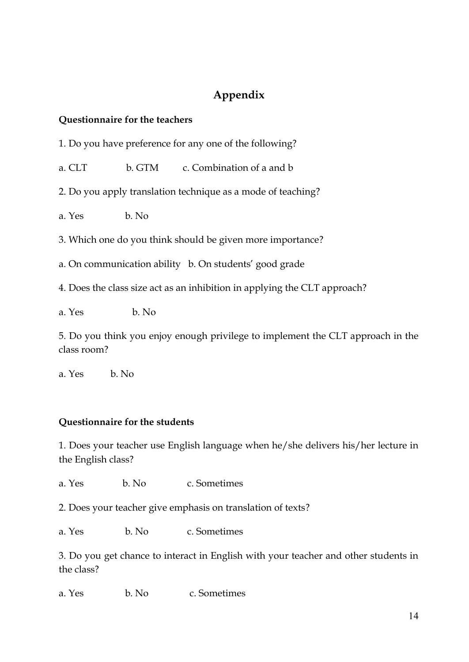# **Appendix**

# **Questionnaire for the teachers**

1. Do you have preference for any one of the following?

a. CLT b. GTM c. Combination of a and b

- 2. Do you apply translation technique as a mode of teaching?
- a Yes b. No.
- 3. Which one do you think should be given more importance?
- a. On communication ability b. On students' good grade
- 4. Does the class size act as an inhibition in applying the CLT approach?
- a Yes b. No.

5. Do you think you enjoy enough privilege to implement the CLT approach in the class room?

a. Yes b. No

# **Questionnaire for the students**

1. Does your teacher use English language when he/she delivers his/her lecture in the English class?

a. Yes b. No c. Sometimes

2. Does your teacher give emphasis on translation of texts?

a. Yes b. No c. Sometimes

3. Do you get chance to interact in English with your teacher and other students in the class?

a. Yes b. No c. Sometimes